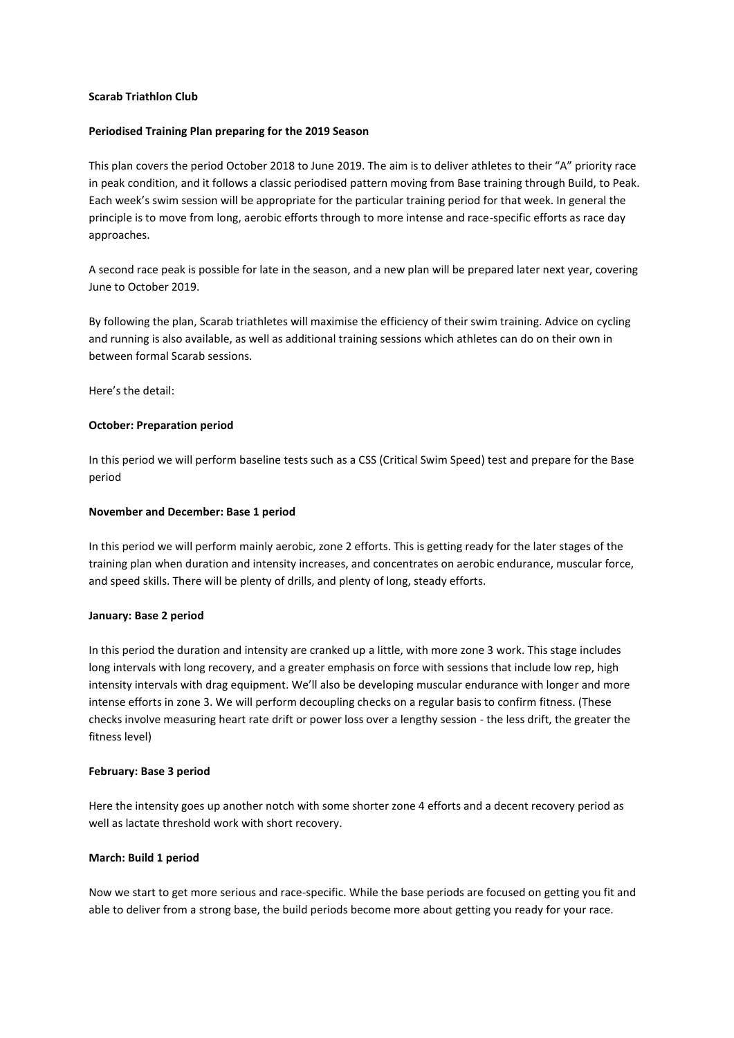## **Scarab Triathlon Club**

### **Periodised Training Plan preparing for the 2019 Season**

This plan covers the period October 2018 to June 2019. The aim is to deliver athletes to their "A" priority race in peak condition, and it follows a classic periodised pattern moving from Base training through Build, to Peak. Each week's swim session will be appropriate for the particular training period for that week. In general the principle is to move from long, aerobic efforts through to more intense and race-specific efforts as race day approaches.

A second race peak is possible for late in the season, and a new plan will be prepared later next year, covering June to October 2019.

By following the plan, Scarab triathletes will maximise the efficiency of their swim training. Advice on cycling and running is also available, as well as additional training sessions which athletes can do on their own in between formal Scarab sessions.

Here's the detail:

## **October: Preparation period**

In this period we will perform baseline tests such as a CSS (Critical Swim Speed) test and prepare for the Base period

## **November and December: Base 1 period**

In this period we will perform mainly aerobic, zone 2 efforts. This is getting ready for the later stages of the training plan when duration and intensity increases, and concentrates on aerobic endurance, muscular force, and speed skills. There will be plenty of drills, and plenty of long, steady efforts.

#### **January: Base 2 period**

In this period the duration and intensity are cranked up a little, with more zone 3 work. This stage includes long intervals with long recovery, and a greater emphasis on force with sessions that include low rep, high intensity intervals with drag equipment. We'll also be developing muscular endurance with longer and more intense efforts in zone 3. We will perform decoupling checks on a regular basis to confirm fitness. (These checks involve measuring heart rate drift or power loss over a lengthy session - the less drift, the greater the fitness level)

#### **February: Base 3 period**

Here the intensity goes up another notch with some shorter zone 4 efforts and a decent recovery period as well as lactate threshold work with short recovery.

#### **March: Build 1 period**

Now we start to get more serious and race-specific. While the base periods are focused on getting you fit and able to deliver from a strong base, the build periods become more about getting you ready for your race.